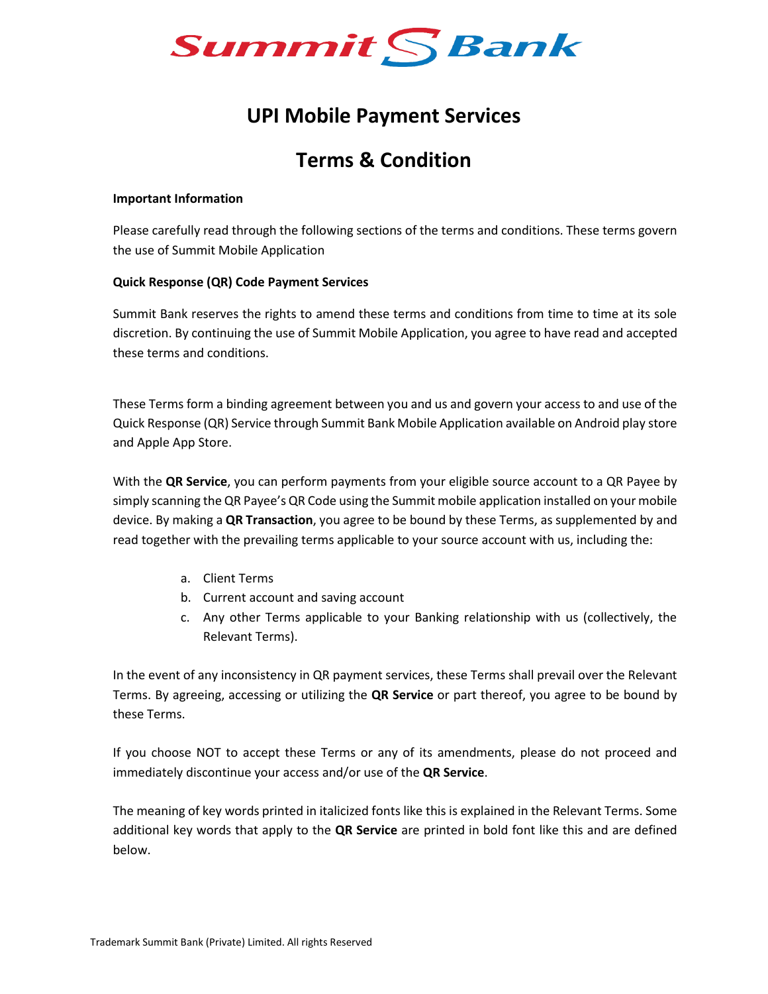

# **UPI Mobile Payment Services**

# **Terms & Condition**

#### **Important Information**

Please carefully read through the following sections of the terms and conditions. These terms govern the use of Summit Mobile Application

### **Quick Response (QR) Code Payment Services**

Summit Bank reserves the rights to amend these terms and conditions from time to time at its sole discretion. By continuing the use of Summit Mobile Application, you agree to have read and accepted these terms and conditions.

These Terms form a binding agreement between you and us and govern your access to and use of the Quick Response (QR) Service through Summit Bank Mobile Application available on Android play store and Apple App Store.

With the **QR Service**, you can perform payments from your eligible source account to a QR Payee by simply scanning the QR Payee's QR Code using the Summit mobile application installed on your mobile device. By making a **QR Transaction**, you agree to be bound by these Terms, as supplemented by and read together with the prevailing terms applicable to your source account with us, including the:

- a. Client Terms
- b. Current account and saving account
- c. Any other Terms applicable to your Banking relationship with us (collectively, the Relevant Terms).

In the event of any inconsistency in QR payment services, these Terms shall prevail over the Relevant Terms. By agreeing, accessing or utilizing the **QR Service** or part thereof, you agree to be bound by these Terms.

If you choose NOT to accept these Terms or any of its amendments, please do not proceed and immediately discontinue your access and/or use of the **QR Service**.

The meaning of key words printed in italicized fonts like this is explained in the Relevant Terms. Some additional key words that apply to the **QR Service** are printed in bold font like this and are defined below.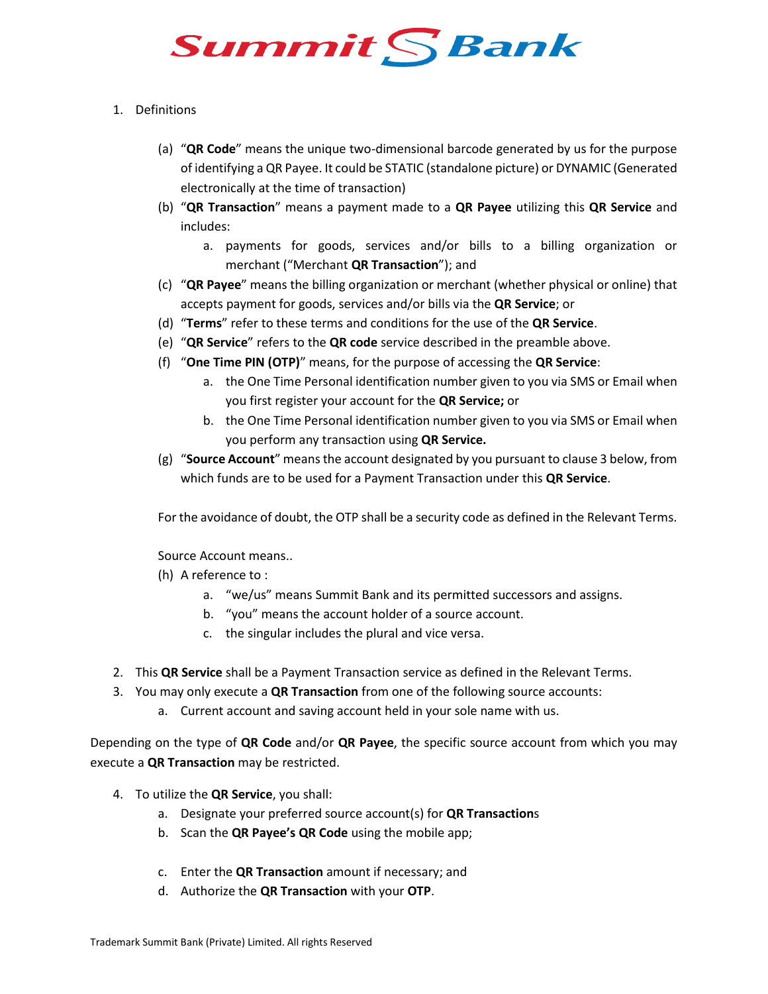

### 1. Definitions

- (a) "**QR Code**" means the unique two-dimensional barcode generated by us for the purpose of identifying a QR Payee. It could be STATIC (standalone picture) or DYNAMIC (Generated electronically at the time of transaction)
- (b) "**QR Transaction**" means a payment made to a **QR Payee** utilizing this **QR Service** and includes:
	- a. payments for goods, services and/or bills to a billing organization or merchant ("Merchant **QR Transaction**"); and
- (c) "**QR Payee**" means the billing organization or merchant (whether physical or online) that accepts payment for goods, services and/or bills via the **QR Service**; or
- (d) "**Terms**" refer to these terms and conditions for the use of the **QR Service**.
- (e) "**QR Service**" refers to the **QR code** service described in the preamble above.
- (f) "**One Time PIN (OTP)**" means, for the purpose of accessing the **QR Service**:
	- a. the One Time Personal identification number given to you via SMS or Email when you first register your account for the **QR Service;** or
	- b. the One Time Personal identification number given to you via SMS or Email when you perform any transaction using **QR Service.**
- (g) "**Source Account**" means the account designated by you pursuant to clause 3 below, from which funds are to be used for a Payment Transaction under this **QR Service**.

For the avoidance of doubt, the OTP shall be a security code as defined in the Relevant Terms.

Source Account means..

- (h) A reference to :
	- a. "we/us" means Summit Bank and its permitted successors and assigns.
	- b. "you" means the account holder of a source account.
	- c. the singular includes the plural and vice versa.
- 2. This **QR Service** shall be a Payment Transaction service as defined in the Relevant Terms.
- 3. You may only execute a **QR Transaction** from one of the following source accounts:
	- a. Current account and saving account held in your sole name with us.

Depending on the type of **QR Code** and/or **QR Payee**, the specific source account from which you may execute a **QR Transaction** may be restricted.

- 4. To utilize the **QR Service**, you shall:
	- a. Designate your preferred source account(s) for **QR Transaction**s
	- b. Scan the **QR Payee's QR Code** using the mobile app;
	- c. Enter the **QR Transaction** amount if necessary; and
	- d. Authorize the **QR Transaction** with your **OTP**.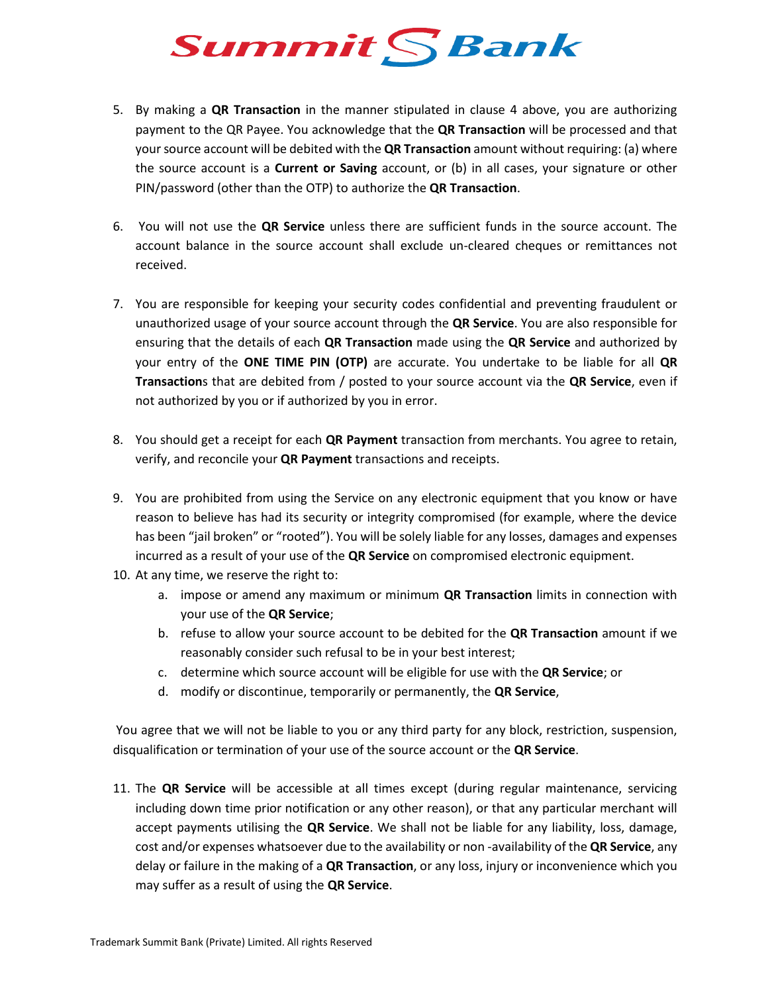

- 5. By making a **QR Transaction** in the manner stipulated in clause 4 above, you are authorizing payment to the QR Payee. You acknowledge that the **QR Transaction** will be processed and that your source account will be debited with the **QR Transaction** amount without requiring: (a) where the source account is a **Current or Saving** account, or (b) in all cases, your signature or other PIN/password (other than the OTP) to authorize the **QR Transaction**.
- 6. You will not use the **QR Service** unless there are sufficient funds in the source account. The account balance in the source account shall exclude un-cleared cheques or remittances not received.
- 7. You are responsible for keeping your security codes confidential and preventing fraudulent or unauthorized usage of your source account through the **QR Service**. You are also responsible for ensuring that the details of each **QR Transaction** made using the **QR Service** and authorized by your entry of the **ONE TIME PIN (OTP)** are accurate. You undertake to be liable for all **QR Transaction**s that are debited from / posted to your source account via the **QR Service**, even if not authorized by you or if authorized by you in error.
- 8. You should get a receipt for each **QR Payment** transaction from merchants. You agree to retain, verify, and reconcile your **QR Payment** transactions and receipts.
- 9. You are prohibited from using the Service on any electronic equipment that you know or have reason to believe has had its security or integrity compromised (for example, where the device has been "jail broken" or "rooted"). You will be solely liable for any losses, damages and expenses incurred as a result of your use of the **QR Service** on compromised electronic equipment.
- 10. At any time, we reserve the right to:
	- a. impose or amend any maximum or minimum **QR Transaction** limits in connection with your use of the **QR Service**;
	- b. refuse to allow your source account to be debited for the **QR Transaction** amount if we reasonably consider such refusal to be in your best interest;
	- c. determine which source account will be eligible for use with the **QR Service**; or
	- d. modify or discontinue, temporarily or permanently, the **QR Service**,

You agree that we will not be liable to you or any third party for any block, restriction, suspension, disqualification or termination of your use of the source account or the **QR Service**.

11. The **QR Service** will be accessible at all times except (during regular maintenance, servicing including down time prior notification or any other reason), or that any particular merchant will accept payments utilising the **QR Service**. We shall not be liable for any liability, loss, damage, cost and/or expenses whatsoever due to the availability or non -availability of the **QR Service**, any delay or failure in the making of a **QR Transaction**, or any loss, injury or inconvenience which you may suffer as a result of using the **QR Service**.